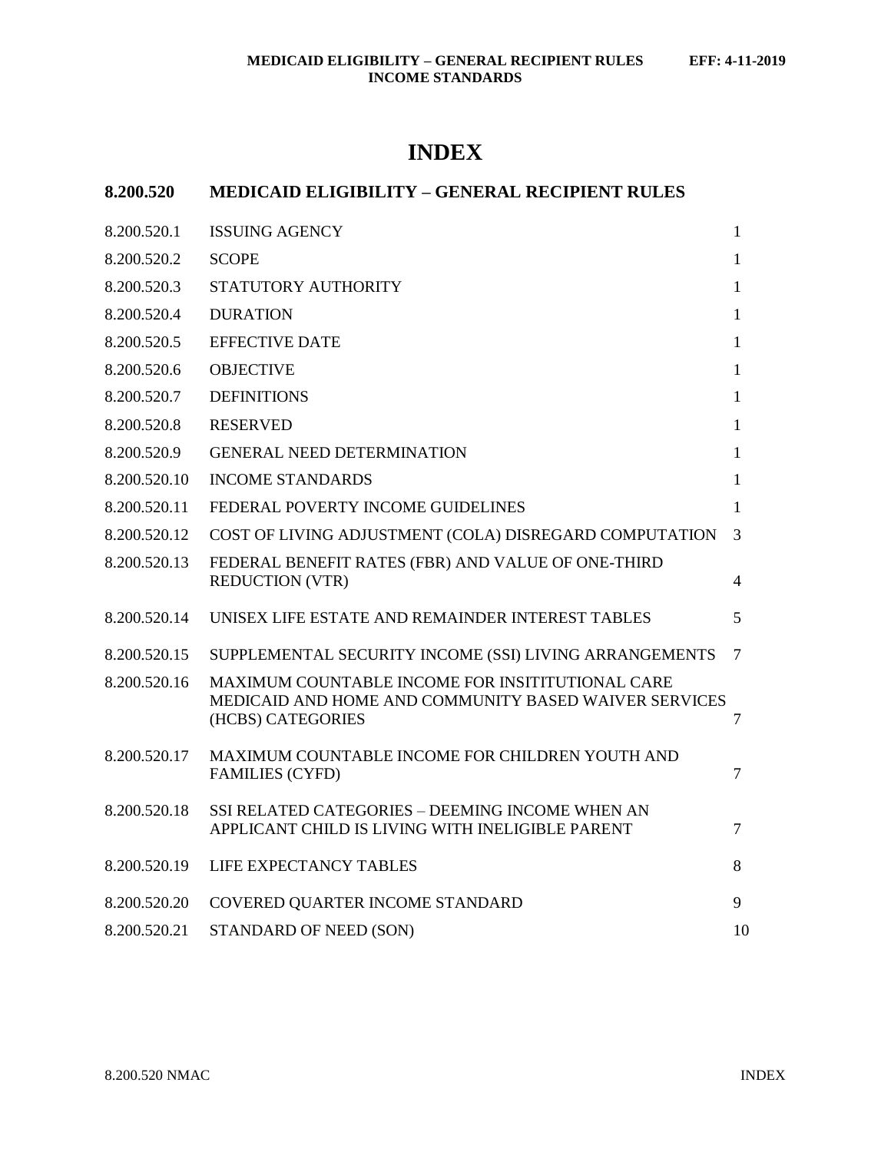# **INDEX**

| 8.200.520    | <b>MEDICAID ELIGIBILITY - GENERAL RECIPIENT RULES</b>                                                                          |    |
|--------------|--------------------------------------------------------------------------------------------------------------------------------|----|
| 8.200.520.1  | <b>ISSUING AGENCY</b>                                                                                                          | 1  |
| 8.200.520.2  | <b>SCOPE</b>                                                                                                                   | 1  |
| 8.200.520.3  | STATUTORY AUTHORITY                                                                                                            | 1  |
| 8.200.520.4  | <b>DURATION</b>                                                                                                                | 1  |
| 8.200.520.5  | <b>EFFECTIVE DATE</b>                                                                                                          | 1  |
| 8.200.520.6  | <b>OBJECTIVE</b>                                                                                                               | 1  |
| 8.200.520.7  | <b>DEFINITIONS</b>                                                                                                             | 1  |
| 8.200.520.8  | <b>RESERVED</b>                                                                                                                | 1  |
| 8.200.520.9  | <b>GENERAL NEED DETERMINATION</b>                                                                                              | 1  |
| 8.200.520.10 | <b>INCOME STANDARDS</b>                                                                                                        | 1  |
| 8.200.520.11 | FEDERAL POVERTY INCOME GUIDELINES                                                                                              | 1  |
| 8.200.520.12 | COST OF LIVING ADJUSTMENT (COLA) DISREGARD COMPUTATION                                                                         | 3  |
| 8.200.520.13 | FEDERAL BENEFIT RATES (FBR) AND VALUE OF ONE-THIRD<br><b>REDUCTION (VTR)</b>                                                   | 4  |
| 8.200.520.14 | UNISEX LIFE ESTATE AND REMAINDER INTEREST TABLES                                                                               | 5  |
| 8.200.520.15 | SUPPLEMENTAL SECURITY INCOME (SSI) LIVING ARRANGEMENTS                                                                         | 7  |
| 8.200.520.16 | MAXIMUM COUNTABLE INCOME FOR INSITITUTIONAL CARE<br>MEDICAID AND HOME AND COMMUNITY BASED WAIVER SERVICES<br>(HCBS) CATEGORIES | 7  |
| 8.200.520.17 | MAXIMUM COUNTABLE INCOME FOR CHILDREN YOUTH AND<br><b>FAMILIES (CYFD)</b>                                                      | 7  |
| 8.200.520.18 | SSI RELATED CATEGORIES - DEEMING INCOME WHEN AN<br>APPLICANT CHILD IS LIVING WITH INELIGIBLE PARENT                            | 7  |
| 8.200.520.19 | LIFE EXPECTANCY TABLES                                                                                                         | 8  |
| 8.200.520.20 | COVERED QUARTER INCOME STANDARD                                                                                                | 9  |
| 8.200.520.21 | STANDARD OF NEED (SON)                                                                                                         | 10 |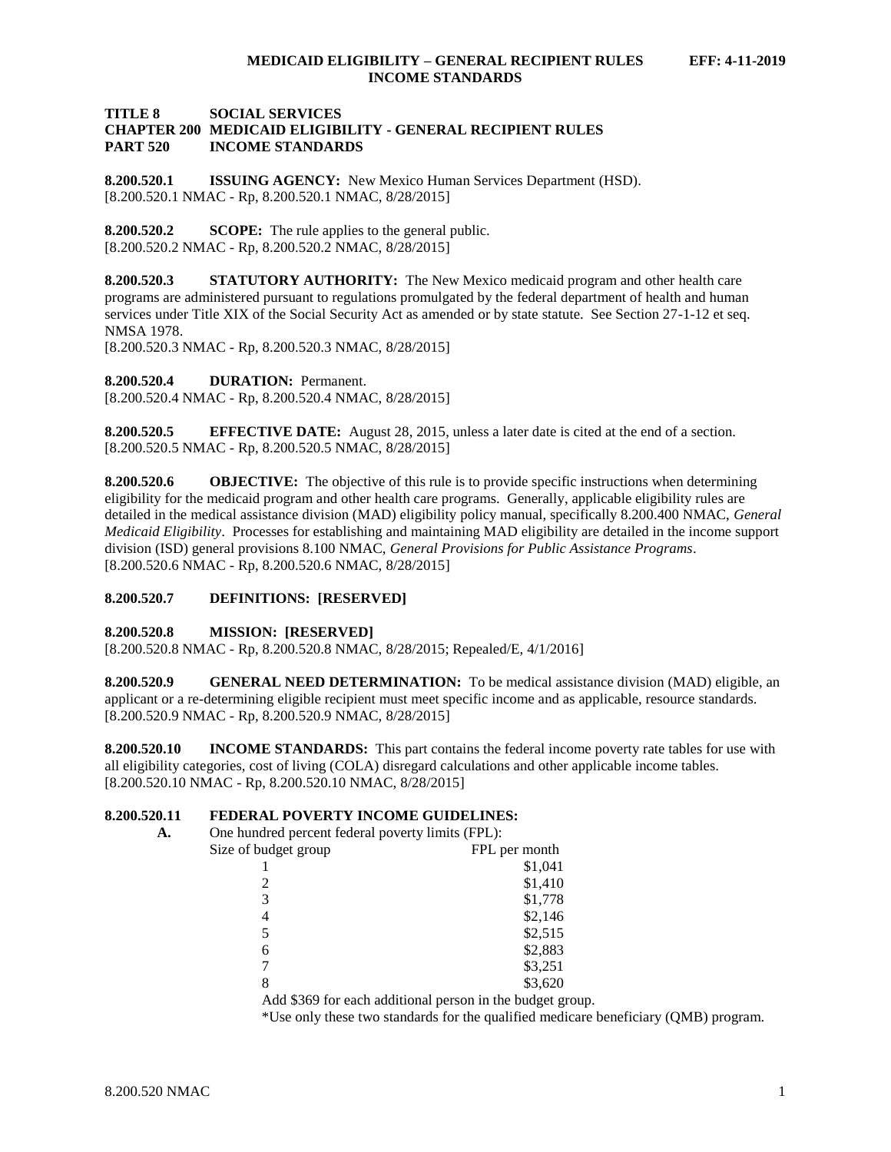#### **TITLE 8 SOCIAL SERVICES CHAPTER 200 MEDICAID ELIGIBILITY - GENERAL RECIPIENT RULES PART 520 INCOME STANDARDS**

<span id="page-1-0"></span>**8.200.520.1 ISSUING AGENCY:** New Mexico Human Services Department (HSD). [8.200.520.1 NMAC - Rp, 8.200.520.1 NMAC, 8/28/2015]

<span id="page-1-1"></span>**8.200.520.2 SCOPE:** The rule applies to the general public. [8.200.520.2 NMAC - Rp, 8.200.520.2 NMAC, 8/28/2015]

<span id="page-1-2"></span>**8.200.520.3 STATUTORY AUTHORITY:** The New Mexico medicaid program and other health care programs are administered pursuant to regulations promulgated by the federal department of health and human services under Title XIX of the Social Security Act as amended or by state statute. See Section 27-1-12 et seq. NMSA 1978.

[8.200.520.3 NMAC - Rp, 8.200.520.3 NMAC, 8/28/2015]

<span id="page-1-3"></span>**8.200.520.4 DURATION:** Permanent.

[8.200.520.4 NMAC - Rp, 8.200.520.4 NMAC, 8/28/2015]

<span id="page-1-4"></span>**8.200.520.5 EFFECTIVE DATE:** August 28, 2015, unless a later date is cited at the end of a section. [8.200.520.5 NMAC - Rp, 8.200.520.5 NMAC, 8/28/2015]

<span id="page-1-5"></span>**8.200.520.6 OBJECTIVE:** The objective of this rule is to provide specific instructions when determining eligibility for the medicaid program and other health care programs. Generally, applicable eligibility rules are detailed in the medical assistance division (MAD) eligibility policy manual, specifically 8.200.400 NMAC, *General Medicaid Eligibility*. Processes for establishing and maintaining MAD eligibility are detailed in the income support division (ISD) general provisions 8.100 NMAC, *General Provisions for Public Assistance Programs*. [8.200.520.6 NMAC - Rp, 8.200.520.6 NMAC, 8/28/2015]

#### <span id="page-1-6"></span>**8.200.520.7 DEFINITIONS: [RESERVED]**

#### <span id="page-1-7"></span>**8.200.520.8 MISSION: [RESERVED]**

[8.200.520.8 NMAC - Rp, 8.200.520.8 NMAC, 8/28/2015; Repealed/E, 4/1/2016]

<span id="page-1-8"></span>**8.200.520.9 GENERAL NEED DETERMINATION:** To be medical assistance division (MAD) eligible, an applicant or a re-determining eligible recipient must meet specific income and as applicable, resource standards. [8.200.520.9 NMAC - Rp, 8.200.520.9 NMAC, 8/28/2015]

<span id="page-1-9"></span>**8.200.520.10 INCOME STANDARDS:** This part contains the federal income poverty rate tables for use with all eligibility categories, cost of living (COLA) disregard calculations and other applicable income tables. [8.200.520.10 NMAC - Rp, 8.200.520.10 NMAC, 8/28/2015]

## <span id="page-1-10"></span>**8.200.520.11 FEDERAL POVERTY INCOME GUIDELINES:**

| А. | One hundred percent federal poverty limits (FPL): |                                                           |
|----|---------------------------------------------------|-----------------------------------------------------------|
|    | Size of budget group                              | FPL per month                                             |
|    |                                                   | \$1,041                                                   |
|    | 2                                                 | \$1,410                                                   |
|    | 3                                                 | \$1,778                                                   |
|    | 4                                                 | \$2,146                                                   |
|    | 5                                                 | \$2,515                                                   |
|    | 6                                                 | \$2,883                                                   |
|    |                                                   | \$3,251                                                   |
|    | 8                                                 | \$3,620                                                   |
|    |                                                   | Add \$369 for each additional person in the budget group. |

\*Use only these two standards for the qualified medicare beneficiary (QMB) program.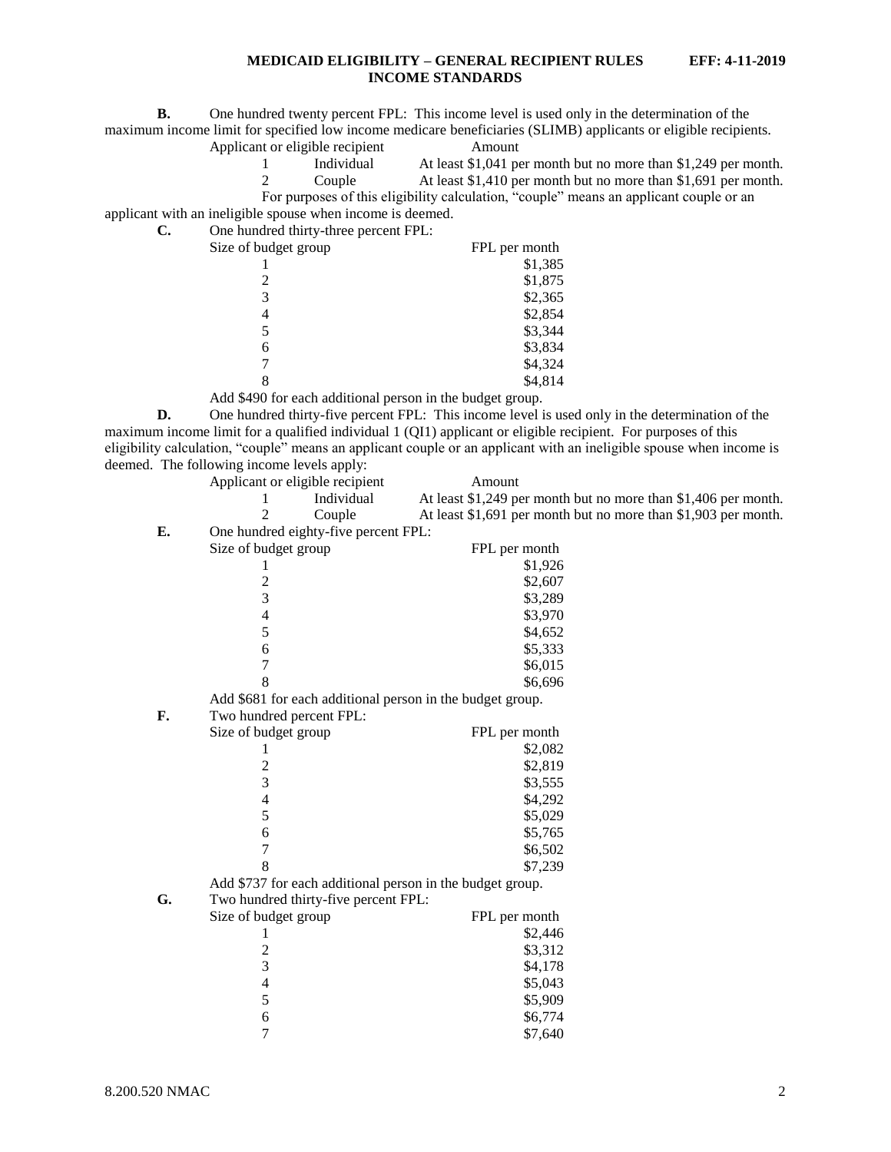**B.** One hundred twenty percent FPL: This income level is used only in the determination of the maximum income limit for specified low income medicare beneficiaries (SLIMB) applicants or eligible recipients.

Applicant or eligible recipient Amount

1 Individual At least \$1,041 per month but no more than \$1,249 per month.

2 Couple At least \$1,410 per month but no more than \$1,691 per month.

For purposes of this eligibility calculation, "couple" means an applicant couple or an

applicant with an ineligible spouse when income is deemed. **C.** One hundred thirty-three percent FPL:

| $\sigma$ one handled three $\mu$ and $\sigma$ percent $\sigma$ is $\sigma$ . |               |
|------------------------------------------------------------------------------|---------------|
| Size of budget group                                                         | FPL per month |
|                                                                              | \$1,385       |
|                                                                              | \$1,875       |
| 3                                                                            | \$2,365       |
| 4                                                                            | \$2,854       |
| 5                                                                            | \$3,344       |
| 6                                                                            | \$3,834       |
|                                                                              | \$4,324       |
|                                                                              | \$4,814       |
| .                                                                            |               |

Add \$490 for each additional person in the budget group.

**D.** One hundred thirty-five percent FPL: This income level is used only in the determination of the maximum income limit for a qualified individual 1 (QI1) applicant or eligible recipient. For purposes of this eligibility calculation, "couple" means an applicant couple or an applicant with an ineligible spouse when income is deemed. The following income levels apply:

|    | Applicant or eligible recipient                           | Amount                                                         |
|----|-----------------------------------------------------------|----------------------------------------------------------------|
|    | Individual                                                | At least \$1,249 per month but no more than \$1,406 per month. |
|    | 2<br>Couple                                               | At least \$1,691 per month but no more than \$1,903 per month. |
| E. | One hundred eighty-five percent FPL:                      |                                                                |
|    | Size of budget group                                      | FPL per month                                                  |
|    | 1                                                         | \$1,926                                                        |
|    | $\overline{c}$                                            | \$2,607                                                        |
|    | $\overline{3}$                                            | \$3,289                                                        |
|    | $\overline{\mathcal{L}}$                                  | \$3,970                                                        |
|    | 5                                                         | \$4,652                                                        |
|    | 6                                                         | \$5,333                                                        |
|    | 7                                                         | \$6,015                                                        |
|    | 8                                                         | \$6,696                                                        |
|    | Add \$681 for each additional person in the budget group. |                                                                |
| F. | Two hundred percent FPL:                                  |                                                                |
|    | Size of budget group                                      | FPL per month                                                  |
|    | 1                                                         | \$2,082                                                        |
|    | $\overline{\mathbf{c}}$                                   | \$2,819                                                        |
|    | 3                                                         | \$3,555                                                        |
|    | $\overline{\mathcal{L}}$                                  | \$4,292                                                        |
|    | 5                                                         | \$5,029                                                        |
|    | 6                                                         | \$5,765                                                        |
|    | 7                                                         | \$6,502                                                        |
|    | 8                                                         | \$7,239                                                        |
|    | Add \$737 for each additional person in the budget group. |                                                                |
| G. | Two hundred thirty-five percent FPL:                      |                                                                |
|    | Size of budget group                                      | FPL per month                                                  |
|    | 1                                                         | \$2,446                                                        |
|    | $\overline{c}$                                            | \$3,312                                                        |
|    | 3                                                         | \$4,178                                                        |
|    | $\overline{4}$                                            | \$5,043                                                        |
|    | 5                                                         | \$5,909                                                        |
|    | 6                                                         | \$6,774                                                        |
|    | $\overline{7}$                                            | \$7,640                                                        |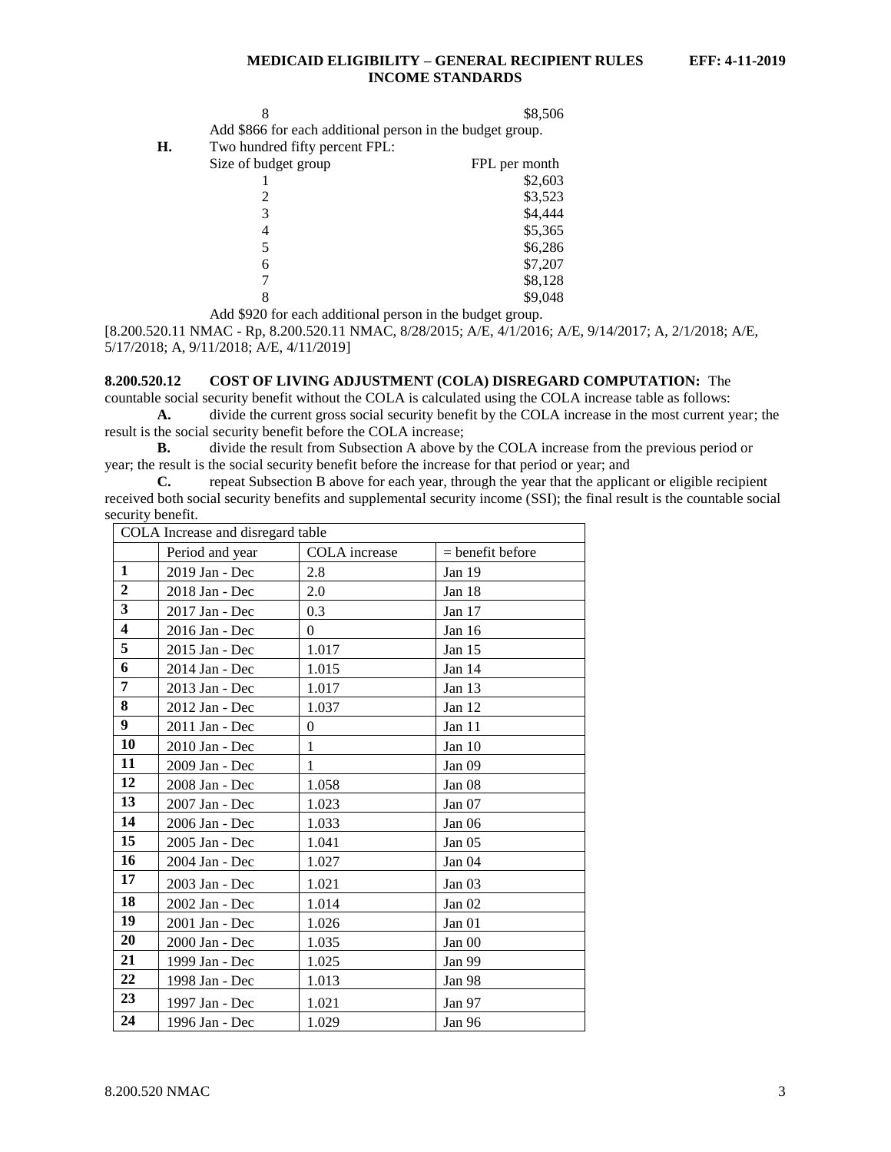|                                                        | \$8,506 |
|--------------------------------------------------------|---------|
| d \$866 for each additional person in the budget group |         |

Add \$866 for each additional person in the budget group.

**H.** Two hundred fifty percent FPL:

| Size of budget group | FPL per month |
|----------------------|---------------|
|                      | \$2,603       |
|                      | \$3,523       |
| 3                    | \$4,444       |
|                      | \$5,365       |
|                      | \$6,286       |
| 6                    | \$7,207       |
|                      | \$8,128       |
| 8                    | \$9,048       |

Add \$920 for each additional person in the budget group.

[8.200.520.11 NMAC - Rp, 8.200.520.11 NMAC, 8/28/2015; A/E, 4/1/2016; A/E, 9/14/2017; A, 2/1/2018; A/E, 5/17/2018; A, 9/11/2018; A/E, 4/11/2019]

#### <span id="page-3-0"></span>**8.200.520.12 COST OF LIVING ADJUSTMENT (COLA) DISREGARD COMPUTATION:** The

countable social security benefit without the COLA is calculated using the COLA increase table as follows: **A.** divide the current gross social security benefit by the COLA increase in the most current year; the result is the social security benefit before the COLA increase;

**B.** divide the result from Subsection A above by the COLA increase from the previous period or year; the result is the social security benefit before the increase for that period or year; and

**C.** repeat Subsection B above for each year, through the year that the applicant or eligible recipient received both social security benefits and supplemental security income (SSI); the final result is the countable social security benefit.

| COLA Increase and disregard table |                 |                  |                    |  |  |
|-----------------------------------|-----------------|------------------|--------------------|--|--|
|                                   | Period and year | COLA increase    | $=$ benefit before |  |  |
| $\mathbf{1}$                      | 2019 Jan - Dec  | 2.8              | Jan 19             |  |  |
| $\overline{2}$                    | 2018 Jan - Dec  | 2.0              | Jan 18             |  |  |
| $\overline{\mathbf{3}}$           | 2017 Jan - Dec  | 0.3              | Jan 17             |  |  |
| $\overline{\mathbf{4}}$           | 2016 Jan - Dec  | $\Omega$         | Jan 16             |  |  |
| 5                                 | 2015 Jan - Dec  | 1.017            | Jan 15             |  |  |
| 6                                 | 2014 Jan - Dec  | 1.015            | Jan 14             |  |  |
| 7                                 | 2013 Jan - Dec  | 1.017            | Jan $13$           |  |  |
| 8                                 | 2012 Jan - Dec  | 1.037            | Jan 12             |  |  |
| 9                                 | 2011 Jan - Dec  | $\boldsymbol{0}$ | Jan 11             |  |  |
| 10                                | 2010 Jan - Dec  | 1                | Jan 10             |  |  |
| 11                                | 2009 Jan - Dec  | 1                | Jan 09             |  |  |
| 12                                | 2008 Jan - Dec  | 1.058            | Jan 08             |  |  |
| 13                                | 2007 Jan - Dec  | 1.023            | Jan 07             |  |  |
| 14                                | 2006 Jan - Dec  | 1.033            | Jan 06             |  |  |
| 15                                | 2005 Jan - Dec  | 1.041            | Jan 05             |  |  |
| 16                                | 2004 Jan - Dec  | 1.027            | Jan 04             |  |  |
| 17                                | 2003 Jan - Dec  | 1.021            | Jan 03             |  |  |
| 18                                | 2002 Jan - Dec  | 1.014            | Jan 02             |  |  |
| 19                                | 2001 Jan - Dec  | 1.026            | Jan 01             |  |  |
| 20                                | 2000 Jan - Dec  | 1.035            | Jan 00             |  |  |
| 21                                | 1999 Jan - Dec  | 1.025            | Jan 99             |  |  |
| 22                                | 1998 Jan - Dec  | 1.013            | Jan 98             |  |  |
| 23                                | 1997 Jan - Dec  | 1.021            | Jan 97             |  |  |
| 24                                | 1996 Jan - Dec  | 1.029            | Jan 96             |  |  |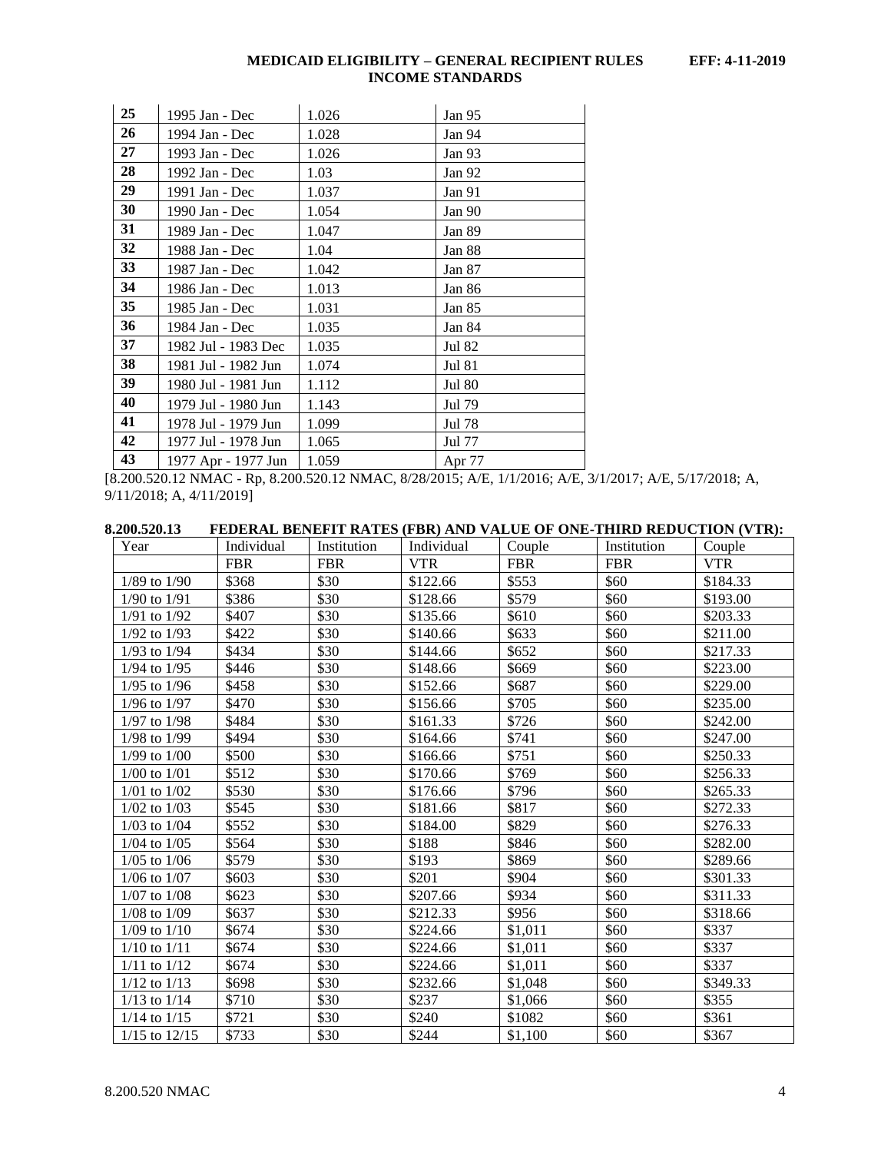| 25 | 1995 Jan - Dec      | 1.026 | Jan 95        |
|----|---------------------|-------|---------------|
| 26 | 1994 Jan - Dec      | 1.028 | Jan 94        |
| 27 | 1993 Jan - Dec      | 1.026 | Jan 93        |
| 28 | 1992 Jan - Dec      | 1.03  | Jan 92        |
| 29 | 1991 Jan - Dec      | 1.037 | Jan 91        |
| 30 | 1990 Jan - Dec      | 1.054 | Jan 90        |
| 31 | 1989 Jan - Dec      | 1.047 | Jan 89        |
| 32 | 1988 Jan - Dec      | 1.04  | Jan 88        |
| 33 | 1987 Jan - Dec      | 1.042 | Jan 87        |
| 34 | 1986 Jan - Dec      | 1.013 | Jan 86        |
| 35 | 1985 Jan - Dec      | 1.031 | Jan 85        |
| 36 | 1984 Jan - Dec      | 1.035 | Jan 84        |
| 37 | 1982 Jul - 1983 Dec | 1.035 | Jul 82        |
| 38 | 1981 Jul - 1982 Jun | 1.074 | <b>Jul 81</b> |
| 39 | 1980 Jul - 1981 Jun | 1.112 | <b>Jul 80</b> |
| 40 | 1979 Jul - 1980 Jun | 1.143 | Jul 79        |
| 41 | 1978 Jul - 1979 Jun | 1.099 | Jul 78        |
| 42 | 1977 Jul - 1978 Jun | 1.065 | Jul 77        |
| 43 | 1977 Apr - 1977 Jun | 1.059 | Apr 77        |

[8.200.520.12 NMAC - Rp, 8.200.520.12 NMAC, 8/28/2015; A/E, 1/1/2016; A/E, 3/1/2017; A/E, 5/17/2018; A, 9/11/2018; A, 4/11/2019]

<span id="page-4-0"></span>

|--|

| Year              | Individual | Institution | Individual | Couple     | Institution | Couple     |
|-------------------|------------|-------------|------------|------------|-------------|------------|
|                   | <b>FBR</b> | <b>FBR</b>  | <b>VTR</b> | <b>FBR</b> | <b>FBR</b>  | <b>VTR</b> |
| $1/89$ to $1/90$  | \$368      | \$30        | \$122.66   | \$553      | \$60        | \$184.33   |
| $1/90$ to $1/91$  | \$386      | \$30        | \$128.66   | \$579      | \$60        | \$193.00   |
| $1/91$ to $1/92$  | \$407      | \$30        | \$135.66   | \$610      | \$60        | \$203.33   |
| $1/92$ to $1/93$  | \$422      | \$30        | \$140.66   | \$633      | \$60        | \$211.00   |
| $1/93$ to $1/94$  | \$434      | \$30        | \$144.66   | \$652      | \$60        | \$217.33   |
| $1/94$ to $1/95$  | \$446      | \$30        | \$148.66   | \$669      | \$60        | \$223.00   |
| $1/95$ to $1/96$  | \$458      | \$30        | \$152.66   | \$687      | \$60        | \$229.00   |
| $1/96$ to $1/97$  | \$470      | \$30        | \$156.66   | \$705      | \$60        | \$235.00   |
| $1/97$ to $1/98$  | \$484      | \$30        | \$161.33   | \$726      | \$60        | \$242.00   |
| $1/98$ to $1/99$  | \$494      | \$30        | \$164.66   | \$741      | \$60        | \$247.00   |
| $1/99$ to $1/00$  | \$500      | \$30        | \$166.66   | \$751      | \$60        | \$250.33   |
| $1/00$ to $1/01$  | \$512      | \$30        | \$170.66   | \$769      | \$60        | \$256.33   |
| $1/01$ to $1/02$  | \$530      | \$30        | \$176.66   | \$796      | \$60        | \$265.33   |
| $1/02$ to $1/03$  | \$545      | \$30        | \$181.66   | \$817      | \$60        | \$272.33   |
| $1/03$ to $1/04$  | \$552      | \$30        | \$184.00   | \$829      | \$60        | \$276.33   |
| $1/04$ to $1/05$  | \$564      | \$30        | \$188      | \$846      | \$60        | \$282.00   |
| $1/05$ to $1/06$  | \$579      | \$30        | \$193      | \$869      | \$60        | \$289.66   |
| $1/06$ to $1/07$  | \$603      | \$30        | \$201      | \$904      | \$60        | \$301.33   |
| $1/07$ to $1/08$  | \$623      | \$30        | \$207.66   | \$934      | \$60        | \$311.33   |
| $1/08$ to $1/09$  | \$637      | \$30        | \$212.33   | \$956      | \$60        | \$318.66   |
| $1/09$ to $1/10$  | \$674      | \$30        | \$224.66   | \$1,011    | \$60        | \$337      |
| $1/10$ to $1/11$  | \$674      | \$30        | \$224.66   | \$1,011    | \$60        | \$337      |
| $1/11$ to $1/12$  | \$674      | \$30        | \$224.66   | \$1,011    | \$60        | \$337      |
| $1/12$ to $1/13$  | \$698      | \$30        | \$232.66   | \$1,048    | \$60        | \$349.33   |
| $1/13$ to $1/14$  | \$710      | \$30        | \$237      | \$1,066    | \$60        | \$355      |
| $1/14$ to $1/15$  | \$721      | \$30        | \$240      | \$1082     | \$60        | \$361      |
| $1/15$ to $12/15$ | \$733      | \$30        | \$244      | \$1,100    | \$60        | \$367      |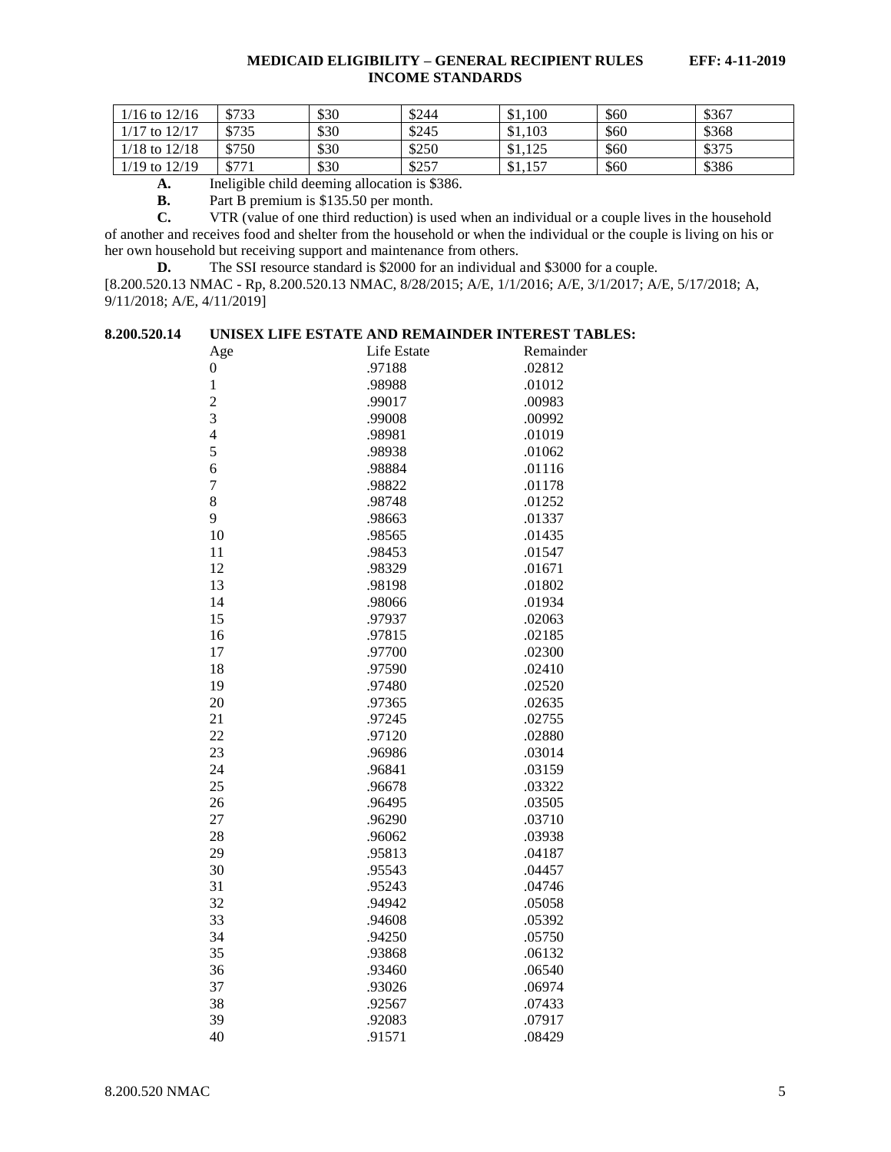| $1/16$ to $12/16$ | \$733 | \$30 | \$244 | \$1,100 | \$60 | \$367 |
|-------------------|-------|------|-------|---------|------|-------|
| $1/17$ to $12/17$ | \$735 | \$30 | \$245 | \$1,103 | \$60 | \$368 |
| $1/18$ to $12/18$ | \$750 | \$30 | \$250 | \$1,125 | \$60 | \$375 |
| $1/19$ to $12/19$ | \$771 | \$30 | \$257 | \$1,157 | \$60 | \$386 |

**A.** Ineligible child deeming allocation is \$386.

**B.** Part B premium is \$135.50 per month.<br>**C.** VTR (value of one third reduction) is u

**C.** VTR (value of one third reduction) is used when an individual or a couple lives in the household of another and receives food and shelter from the household or when the individual or the couple is living on his or her own household but receiving support and maintenance from others.

**D.** The SSI resource standard is \$2000 for an individual and \$3000 for a couple.

[8.200.520.13 NMAC - Rp, 8.200.520.13 NMAC, 8/28/2015; A/E, 1/1/2016; A/E, 3/1/2017; A/E, 5/17/2018; A, 9/11/2018; A/E, 4/11/2019]

<span id="page-5-0"></span>

|  | 8.200.520.14 | UNISEX LIFE ESTATE AND REMAINDER INTEREST TABLES: |  |  |  |  |
|--|--------------|---------------------------------------------------|--|--|--|--|
|--|--------------|---------------------------------------------------|--|--|--|--|

| Age            | Life Estate | Remainder |
|----------------|-------------|-----------|
| 0              | .97188      | .02812    |
| $\mathbf{1}$   | .98988      | .01012    |
| $\overline{c}$ | .99017      | .00983    |
| 3              | .99008      | .00992    |
| $\overline{4}$ | .98981      | .01019    |
| 5              | .98938      | .01062    |
| 6              | .98884      | .01116    |
| $\overline{7}$ | .98822      | .01178    |
| 8              | .98748      | .01252    |
| 9              | .98663      | .01337    |
| 10             | .98565      | .01435    |
| 11             | .98453      | .01547    |
| 12             | .98329      | .01671    |
| 13             | .98198      | .01802    |
| 14             | .98066      | .01934    |
| 15             | .97937      | .02063    |
| 16             | .97815      | .02185    |
| 17             | .97700      | .02300    |
| 18             | .97590      | .02410    |
| 19             | .97480      | .02520    |
| 20             | .97365      | .02635    |
| 21             | .97245      | .02755    |
| 22             | .97120      | .02880    |
| 23             | .96986      | .03014    |
| 24             | .96841      | .03159    |
| 25             | .96678      | .03322    |
| 26             | .96495      | .03505    |
| 27             | .96290      | .03710    |
| 28             | .96062      | .03938    |
| 29             | .95813      | .04187    |
| 30             | .95543      | .04457    |
| 31             | .95243      | .04746    |
| 32             | .94942      | .05058    |
| 33             | .94608      | .05392    |
| 34             | .94250      | .05750    |
| 35             | .93868      | .06132    |
| 36             | .93460      | .06540    |
| 37             | .93026      | .06974    |
| 38             | .92567      | .07433    |
| 39             | .92083      | .07917    |
| 40             | .91571      | .08429    |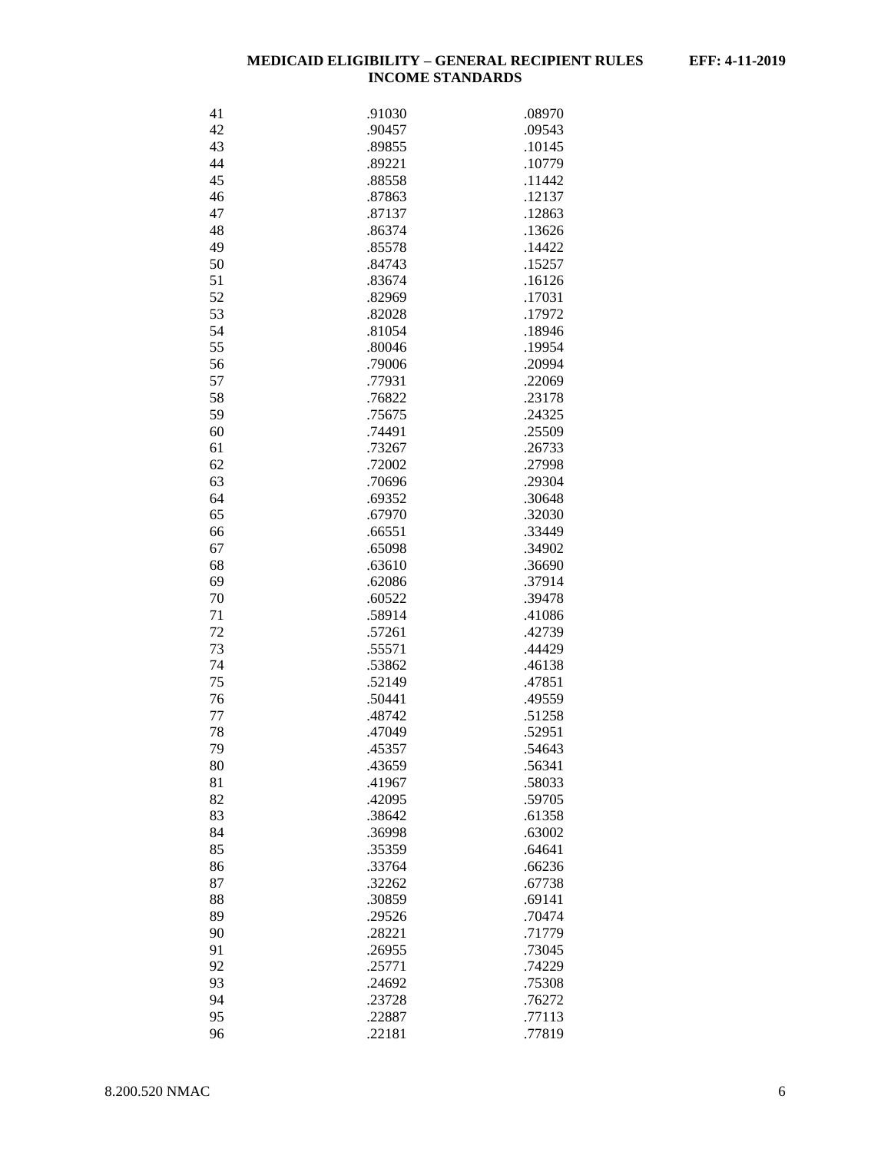| 41 | .91030 | .08970 |
|----|--------|--------|
| 42 | .90457 | .09543 |
| 43 | .89855 | .10145 |
| 44 | .89221 | .10779 |
| 45 | .88558 | .11442 |
| 46 | .87863 | .12137 |
| 47 | .87137 | .12863 |
| 48 |        |        |
| 49 | .86374 | .13626 |
|    | .85578 | .14422 |
| 50 | .84743 | .15257 |
| 51 | .83674 | .16126 |
| 52 | .82969 | .17031 |
| 53 | .82028 | .17972 |
| 54 | .81054 | .18946 |
| 55 | .80046 | .19954 |
| 56 | .79006 | .20994 |
| 57 | .77931 | .22069 |
| 58 | .76822 | .23178 |
| 59 | .75675 | .24325 |
| 60 | .74491 | .25509 |
| 61 | .73267 | .26733 |
| 62 | .72002 | .27998 |
| 63 | .70696 | .29304 |
| 64 | .69352 | .30648 |
| 65 | .67970 | .32030 |
| 66 | .66551 | .33449 |
| 67 | .65098 | .34902 |
| 68 | .63610 | .36690 |
| 69 | .62086 | .37914 |
| 70 | .60522 | .39478 |
| 71 |        | .41086 |
|    | .58914 |        |
| 72 | .57261 | .42739 |
| 73 | .55571 | .44429 |
| 74 | .53862 | .46138 |
| 75 | .52149 | .47851 |
| 76 | .50441 | .49559 |
| 77 | .48742 | .51258 |
| 78 | .47049 | .52951 |
| 79 | .45357 | .54643 |
| 80 | .43659 | .56341 |
| 81 | .41967 | .58033 |
| 82 | .42095 | .59705 |
| 83 | .38642 | .61358 |
| 84 | .36998 | .63002 |
| 85 | .35359 | .64641 |
| 86 | .33764 | .66236 |
| 87 | .32262 | .67738 |
| 88 | .30859 | .69141 |
| 89 | .29526 | .70474 |
| 90 | .28221 | .71779 |
| 91 | .26955 | .73045 |
| 92 | .25771 | .74229 |
| 93 | .24692 | .75308 |
| 94 | .23728 | .76272 |
| 95 |        |        |
|    | .22887 | .77113 |
| 96 | .22181 | .77819 |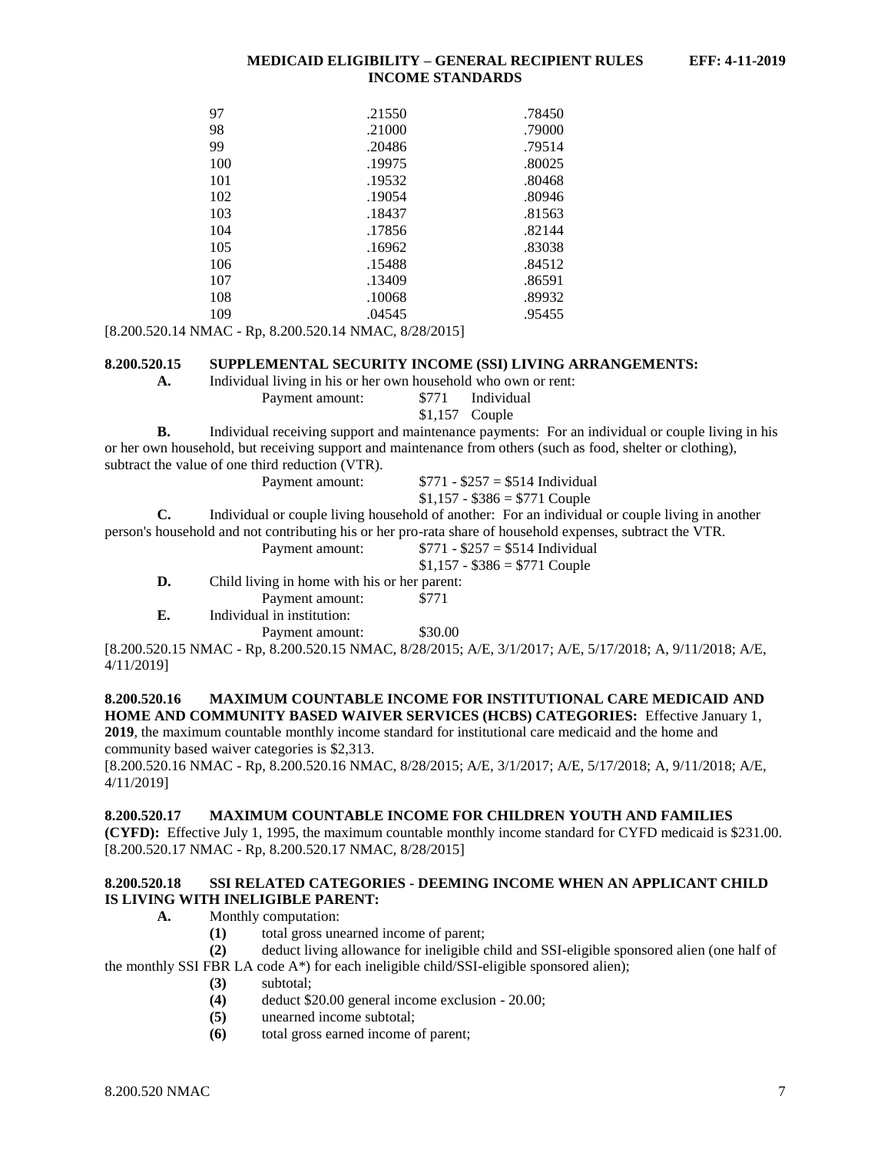| 97  | .21550 | .78450 |
|-----|--------|--------|
| 98  | .21000 | .79000 |
| 99  | .20486 | .79514 |
| 100 | .19975 | .80025 |
| 101 | .19532 | .80468 |
| 102 | .19054 | .80946 |
| 103 | .18437 | .81563 |
| 104 | .17856 | .82144 |
| 105 | .16962 | .83038 |
| 106 | .15488 | .84512 |
| 107 | .13409 | .86591 |
| 108 | .10068 | .89932 |
| 109 | .04545 | .95455 |

[8.200.520.14 NMAC - Rp, 8.200.520.14 NMAC, 8/28/2015]

#### <span id="page-7-0"></span>**8.200.520.15 SUPPLEMENTAL SECURITY INCOME (SSI) LIVING ARRANGEMENTS:**

**A.** Individual living in his or her own household who own or rent:

Payment amount: \$771 Individual \$1,157 Couple

**B.** Individual receiving support and maintenance payments: For an individual or couple living in his or her own household, but receiving support and maintenance from others (such as food, shelter or clothing), subtract the value of one third reduction (VTR).

 $$1,157 - $386 = $771$  Couple **C.** Individual or couple living household of another: For an individual or couple living in another person's household and not contributing his or her pro-rata share of household expenses, subtract the VTR. Payment amount:  $$771 - $257 = $514$  Individual

Payment amount:  $$771 - $257 = $514$  Individual

- $$1,157 $386 = $771$  Couple
- **D.** Child living in home with his or her parent:

Payment amount: \$771

**E.** Individual in institution:

Payment amount: \$30.00

[8.200.520.15 NMAC - Rp, 8.200.520.15 NMAC, 8/28/2015; A/E, 3/1/2017; A/E, 5/17/2018; A, 9/11/2018; A/E, 4/11/2019]

## <span id="page-7-1"></span>**8.200.520.16 MAXIMUM COUNTABLE INCOME FOR INSTITUTIONAL CARE MEDICAID AND HOME AND COMMUNITY BASED WAIVER SERVICES (HCBS) CATEGORIES:** Effective January 1,

**2019**, the maximum countable monthly income standard for institutional care medicaid and the home and community based waiver categories is \$2,313.

[8.200.520.16 NMAC - Rp, 8.200.520.16 NMAC, 8/28/2015; A/E, 3/1/2017; A/E, 5/17/2018; A, 9/11/2018; A/E, 4/11/2019]

### <span id="page-7-2"></span>**8.200.520.17 MAXIMUM COUNTABLE INCOME FOR CHILDREN YOUTH AND FAMILIES**

**(CYFD):** Effective July 1, 1995, the maximum countable monthly income standard for CYFD medicaid is \$231.00. [8.200.520.17 NMAC - Rp, 8.200.520.17 NMAC, 8/28/2015]

#### <span id="page-7-3"></span>**8.200.520.18 SSI RELATED CATEGORIES - DEEMING INCOME WHEN AN APPLICANT CHILD IS LIVING WITH INELIGIBLE PARENT:**

- **A.** Monthly computation:
	- **(1)** total gross unearned income of parent;

**(2)** deduct living allowance for ineligible child and SSI-eligible sponsored alien (one half of the monthly SSI FBR LA code  $A^*$ ) for each ineligible child/SSI-eligible sponsored alien);

- **(3)** subtotal;
- **(4)** deduct \$20.00 general income exclusion 20.00;
- **(5)** unearned income subtotal;
- **(6)** total gross earned income of parent;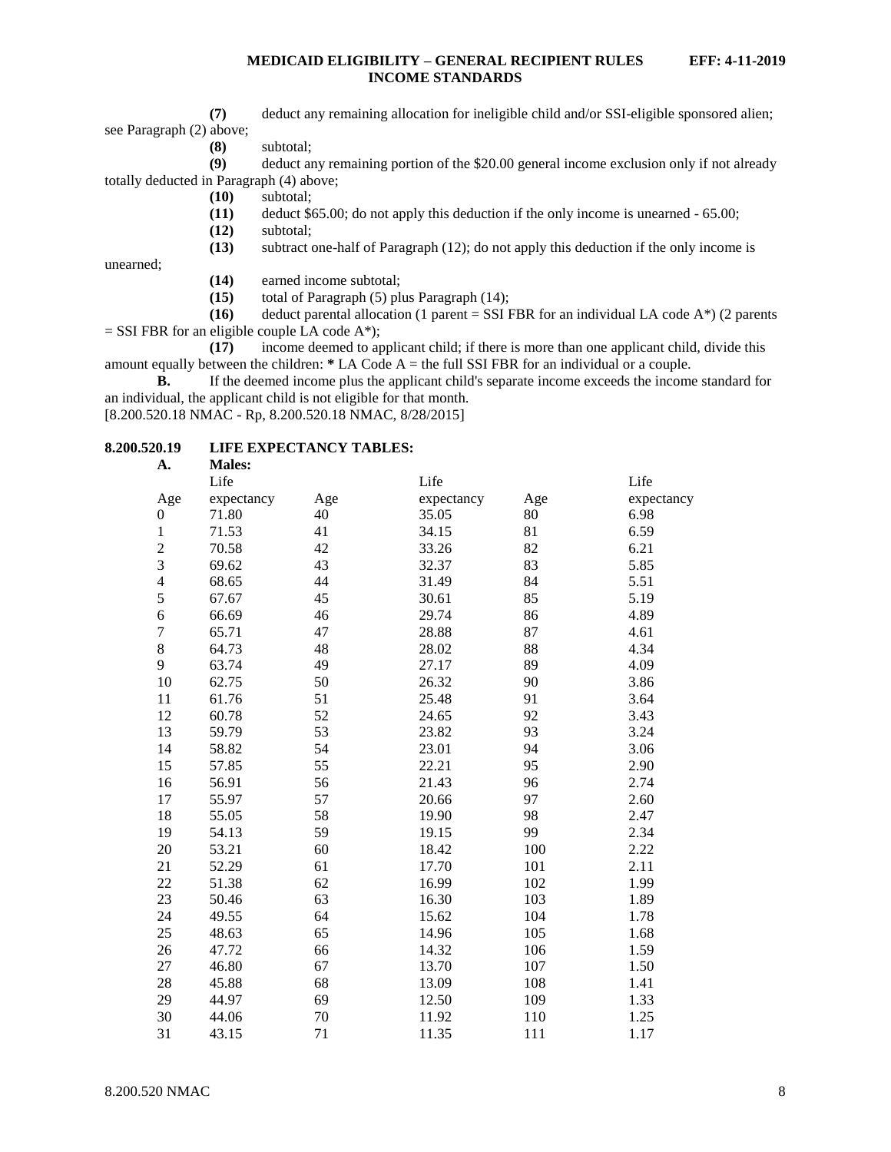**(7)** deduct any remaining allocation for ineligible child and/or SSI-eligible sponsored alien; see Paragraph (2) above;

**(8)** subtotal;

**(9)** deduct any remaining portion of the \$20.00 general income exclusion only if not already totally deducted in Paragraph (4) above;

- **(10)** subtotal;
- **(11)** deduct \$65.00; do not apply this deduction if the only income is unearned 65.00;
- **(12)** subtotal;

**(13)** subtract one-half of Paragraph (12); do not apply this deduction if the only income is

unearned;

- **(14)** earned income subtotal;
- **(15)** total of Paragraph (5) plus Paragraph (14);

**(16)** deduct parental allocation (1 parent = SSI FBR for an individual LA code  $A^*$ ) (2 parents  $=$  SSI FBR for an eligible couple LA code A\*);

**(17)** income deemed to applicant child; if there is more than one applicant child, divide this amount equally between the children: **\*** LA Code A = the full SSI FBR for an individual or a couple.

**B.** If the deemed income plus the applicant child's separate income exceeds the income standard for an individual, the applicant child is not eligible for that month.

[8.200.520.18 NMAC - Rp, 8.200.520.18 NMAC, 8/28/2015]

## <span id="page-8-0"></span>**8.200.520.19 LIFE EXPECTANCY TABLES:**

| A.               | <b>Males:</b> |     |            |     |            |
|------------------|---------------|-----|------------|-----|------------|
|                  | Life          |     | Life       |     | Life       |
| Age              | expectancy    | Age | expectancy | Age | expectancy |
| $\boldsymbol{0}$ | 71.80         | 40  | 35.05      | 80  | 6.98       |
| $\mathbf{1}$     | 71.53         | 41  | 34.15      | 81  | 6.59       |
| $\overline{c}$   | 70.58         | 42  | 33.26      | 82  | 6.21       |
| 3                | 69.62         | 43  | 32.37      | 83  | 5.85       |
| $\overline{4}$   | 68.65         | 44  | 31.49      | 84  | 5.51       |
| 5                | 67.67         | 45  | 30.61      | 85  | 5.19       |
| 6                | 66.69         | 46  | 29.74      | 86  | 4.89       |
| $\overline{7}$   | 65.71         | 47  | 28.88      | 87  | 4.61       |
| 8                | 64.73         | 48  | 28.02      | 88  | 4.34       |
| 9                | 63.74         | 49  | 27.17      | 89  | 4.09       |
| 10               | 62.75         | 50  | 26.32      | 90  | 3.86       |
| 11               | 61.76         | 51  | 25.48      | 91  | 3.64       |
| 12               | 60.78         | 52  | 24.65      | 92  | 3.43       |
| 13               | 59.79         | 53  | 23.82      | 93  | 3.24       |
| 14               | 58.82         | 54  | 23.01      | 94  | 3.06       |
| 15               | 57.85         | 55  | 22.21      | 95  | 2.90       |
| 16               | 56.91         | 56  | 21.43      | 96  | 2.74       |
| 17               | 55.97         | 57  | 20.66      | 97  | 2.60       |
| 18               | 55.05         | 58  | 19.90      | 98  | 2.47       |
| 19               | 54.13         | 59  | 19.15      | 99  | 2.34       |
| 20               | 53.21         | 60  | 18.42      | 100 | 2.22       |
| 21               | 52.29         | 61  | 17.70      | 101 | 2.11       |
| 22               | 51.38         | 62  | 16.99      | 102 | 1.99       |
| 23               | 50.46         | 63  | 16.30      | 103 | 1.89       |
| 24               | 49.55         | 64  | 15.62      | 104 | 1.78       |
| 25               | 48.63         | 65  | 14.96      | 105 | 1.68       |
| 26               | 47.72         | 66  | 14.32      | 106 | 1.59       |
| 27               | 46.80         | 67  | 13.70      | 107 | 1.50       |
| 28               | 45.88         | 68  | 13.09      | 108 | 1.41       |
| 29               | 44.97         | 69  | 12.50      | 109 | 1.33       |
| 30               | 44.06         | 70  | 11.92      | 110 | 1.25       |
| 31               | 43.15         | 71  | 11.35      | 111 | 1.17       |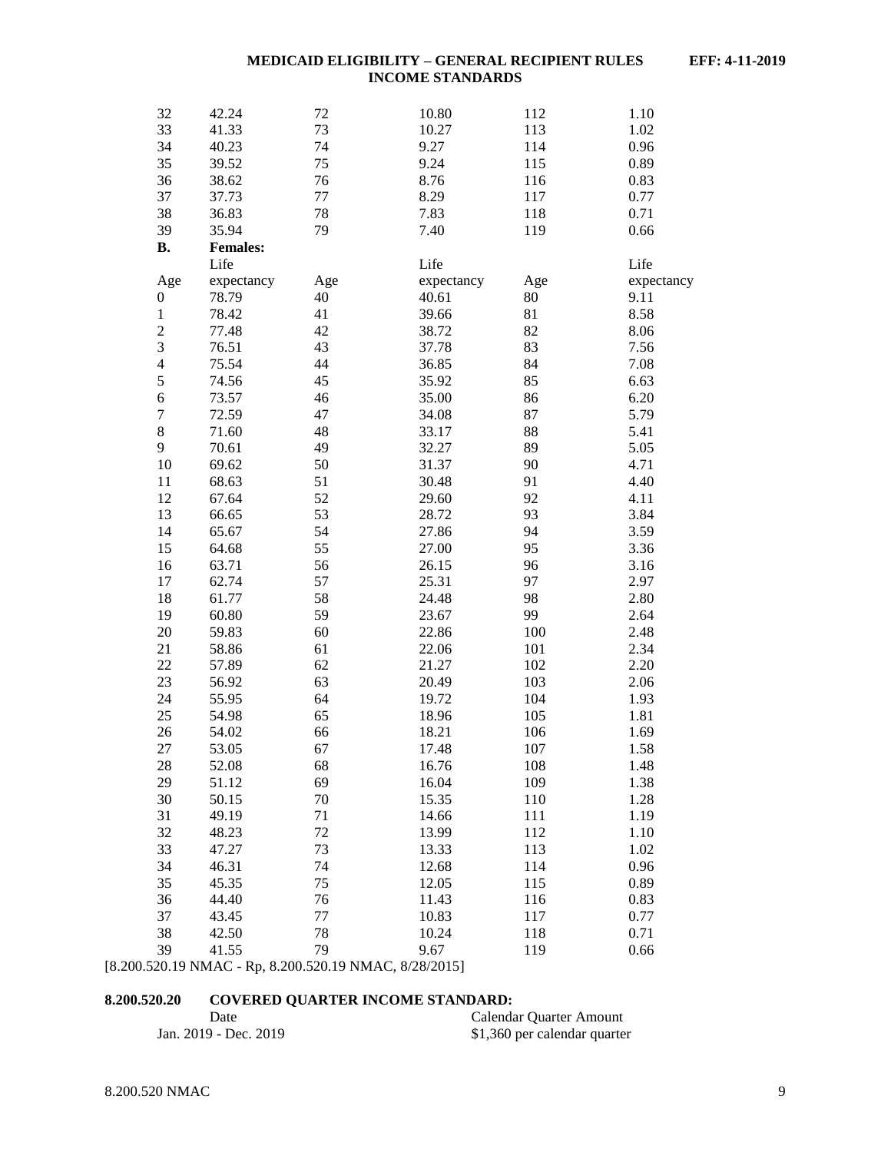| 32               | 42.24           | 72  | 10.80      | 112 | 1.10       |
|------------------|-----------------|-----|------------|-----|------------|
| 33               | 41.33           | 73  | 10.27      | 113 | 1.02       |
| 34               | 40.23           | 74  | 9.27       | 114 | 0.96       |
| 35               | 39.52           | 75  | 9.24       | 115 | 0.89       |
| 36               | 38.62           | 76  | 8.76       | 116 | 0.83       |
| 37               | 37.73           | 77  | 8.29       | 117 | 0.77       |
| 38               | 36.83           | 78  | 7.83       | 118 | 0.71       |
| 39               | 35.94           | 79  | 7.40       | 119 | 0.66       |
| <b>B.</b>        | <b>Females:</b> |     |            |     |            |
|                  | Life            |     | Life       |     | Life       |
| Age              | expectancy      | Age | expectancy | Age | expectancy |
| $\boldsymbol{0}$ | 78.79           | 40  | 40.61      | 80  | 9.11       |
| $\,1$            | 78.42           | 41  | 39.66      | 81  | 8.58       |
| $\overline{c}$   | 77.48           | 42  | 38.72      | 82  | 8.06       |
| 3                | 76.51           | 43  | 37.78      | 83  | 7.56       |
| $\overline{4}$   | 75.54           | 44  | 36.85      | 84  | 7.08       |
| 5                | 74.56           | 45  | 35.92      | 85  | 6.63       |
| 6                | 73.57           | 46  | 35.00      | 86  | 6.20       |
| $\boldsymbol{7}$ | 72.59           | 47  | 34.08      | 87  | 5.79       |
| $8\,$            | 71.60           | 48  | 33.17      | 88  | 5.41       |
| 9                | 70.61           | 49  | 32.27      | 89  | 5.05       |
| 10               | 69.62           | 50  | 31.37      | 90  | 4.71       |
| 11               | 68.63           | 51  | 30.48      | 91  | 4.40       |
| 12               | 67.64           | 52  | 29.60      | 92  | 4.11       |
| 13               | 66.65           | 53  | 28.72      | 93  | 3.84       |
| 14               | 65.67           | 54  | 27.86      | 94  | 3.59       |
| 15               | 64.68           | 55  | 27.00      | 95  | 3.36       |
| 16               | 63.71           | 56  | 26.15      | 96  | 3.16       |
| 17               | 62.74           | 57  | 25.31      | 97  | 2.97       |
| 18               | 61.77           | 58  | 24.48      | 98  | 2.80       |
| 19               | 60.80           | 59  | 23.67      | 99  | 2.64       |
| 20               | 59.83           | 60  | 22.86      | 100 | 2.48       |
| 21               | 58.86           | 61  | 22.06      | 101 | 2.34       |
| 22               | 57.89           | 62  | 21.27      | 102 | 2.20       |
| 23               | 56.92           | 63  | 20.49      | 103 | 2.06       |
| 24               | 55.95           | 64  | 19.72      | 104 | 1.93       |
| 25               | 54.98           | 65  | 18.96      | 105 | 1.81       |
| 26               | 54.02           | 66  | 18.21      | 106 | 1.69       |
| 27               | 53.05           | 67  | 17.48      | 107 | 1.58       |
| 28               | 52.08           | 68  | 16.76      | 108 | 1.48       |
| 29               | 51.12           | 69  | 16.04      | 109 | 1.38       |
| 30               | 50.15           | 70  | 15.35      | 110 | 1.28       |
| 31               | 49.19           | 71  | 14.66      | 111 | 1.19       |
| 32               | 48.23           | 72  | 13.99      | 112 | 1.10       |
| 33               | 47.27           | 73  | 13.33      | 113 | 1.02       |
| 34               | 46.31           | 74  | 12.68      | 114 | 0.96       |
| 35               | 45.35           | 75  | 12.05      | 115 | 0.89       |
| 36               | 44.40           | 76  | 11.43      | 116 | 0.83       |
| 37               | 43.45           | 77  | 10.83      | 117 | 0.77       |
| 38               | 42.50           | 78  | 10.24      | 118 | 0.71       |
| 39               | 41.55           | 79  | 9.67       | 119 | 0.66       |
|                  |                 |     |            |     |            |

[8.200.520.19 NMAC - Rp, 8.200.520.19 NMAC, 8/28/2015]

## <span id="page-9-0"></span>**8.200.520.20 COVERED QUARTER INCOME STANDARD:**

| Date                  | Calendar Quarter Amount      |
|-----------------------|------------------------------|
| Jan. 2019 - Dec. 2019 | \$1,360 per calendar quarter |